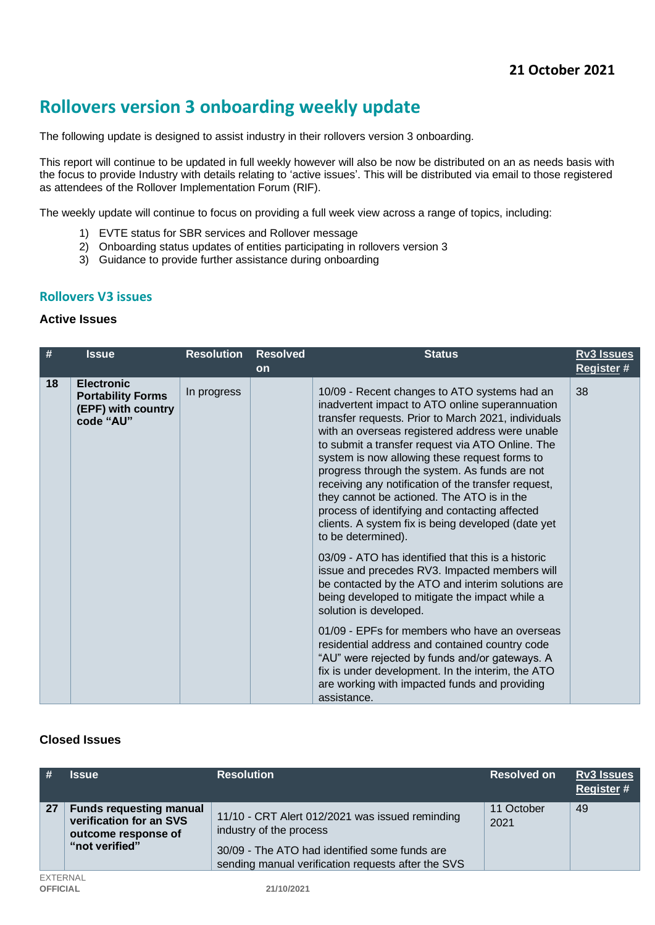# **Rollovers version 3 onboarding weekly update**

The following update is designed to assist industry in their rollovers version 3 onboarding.

This report will continue to be updated in full weekly however will also be now be distributed on an as needs basis with the focus to provide Industry with details relating to 'active issues'. This will be distributed via email to those registered as attendees of the Rollover Implementation Forum (RIF).

The weekly update will continue to focus on providing a full week view across a range of topics, including:

- 1) EVTE status for SBR services and Rollover message
- 2) Onboarding status updates of entities participating in rollovers version 3
- 3) Guidance to provide further assistance during onboarding

## **Rollovers V3 issues**

## **Active Issues**

| #  | <b>Issue</b>                                                                     | <b>Resolution</b> | <b>Resolved</b> | <b>Status</b>                                                                                                                                                                                                                                                                                                                                                                                                                                                                                                                                                                                      | <b>Rv3 Issues</b> |
|----|----------------------------------------------------------------------------------|-------------------|-----------------|----------------------------------------------------------------------------------------------------------------------------------------------------------------------------------------------------------------------------------------------------------------------------------------------------------------------------------------------------------------------------------------------------------------------------------------------------------------------------------------------------------------------------------------------------------------------------------------------------|-------------------|
|    |                                                                                  |                   | <b>on</b>       |                                                                                                                                                                                                                                                                                                                                                                                                                                                                                                                                                                                                    | <b>Register #</b> |
| 18 | <b>Electronic</b><br><b>Portability Forms</b><br>(EPF) with country<br>code "AU" | In progress       |                 | 10/09 - Recent changes to ATO systems had an<br>inadvertent impact to ATO online superannuation<br>transfer requests. Prior to March 2021, individuals<br>with an overseas registered address were unable<br>to submit a transfer request via ATO Online. The<br>system is now allowing these request forms to<br>progress through the system. As funds are not<br>receiving any notification of the transfer request,<br>they cannot be actioned. The ATO is in the<br>process of identifying and contacting affected<br>clients. A system fix is being developed (date yet<br>to be determined). | 38                |
|    |                                                                                  |                   |                 | 03/09 - ATO has identified that this is a historic<br>issue and precedes RV3. Impacted members will<br>be contacted by the ATO and interim solutions are<br>being developed to mitigate the impact while a<br>solution is developed.<br>01/09 - EPFs for members who have an overseas<br>residential address and contained country code<br>"AU" were rejected by funds and/or gateways. A<br>fix is under development. In the interim, the ATO                                                                                                                                                     |                   |
|    |                                                                                  |                   |                 | are working with impacted funds and providing<br>assistance.                                                                                                                                                                                                                                                                                                                                                                                                                                                                                                                                       |                   |

## **Closed Issues**

| #                                  | <b>Issue</b>                                                                                       | <b>Resolution</b>                                                                                                                                                                 | <b>Resolved on</b> | <b>Rv3 Issues</b><br><b>Register#</b> |
|------------------------------------|----------------------------------------------------------------------------------------------------|-----------------------------------------------------------------------------------------------------------------------------------------------------------------------------------|--------------------|---------------------------------------|
| 27                                 | <b>Funds requesting manual</b><br>verification for an SVS<br>outcome response of<br>"not verified" | 11/10 - CRT Alert 012/2021 was issued reminding<br>industry of the process<br>30/09 - The ATO had identified some funds are<br>sending manual verification requests after the SVS | 11 October<br>2021 | 49                                    |
| <b>EXTERNAL</b><br><b>OFFICIAL</b> |                                                                                                    | 21/10/2021                                                                                                                                                                        |                    |                                       |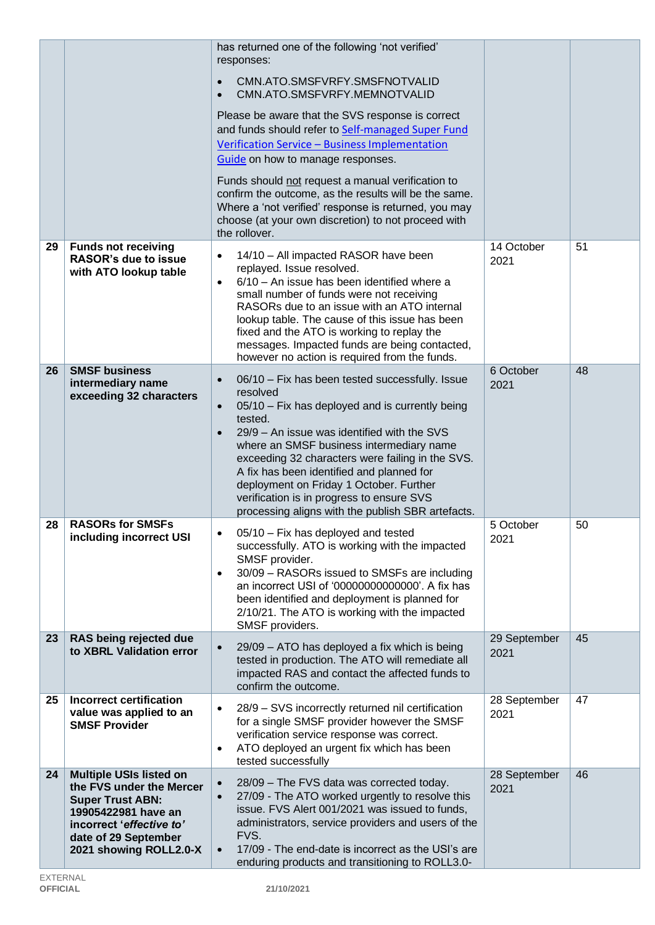|    |                                                                                                                                                                                            | has returned one of the following 'not verified'<br>responses:<br>CMN.ATO.SMSFVRFY.SMSFNOTVALID<br>$\bullet$<br>CMN.ATO.SMSFVRFY.MEMNOTVALID<br>$\bullet$<br>Please be aware that the SVS response is correct<br>and funds should refer to Self-managed Super Fund<br>Verification Service - Business Implementation<br>Guide on how to manage responses.<br>Funds should not request a manual verification to<br>confirm the outcome, as the results will be the same.<br>Where a 'not verified' response is returned, you may<br>choose (at your own discretion) to not proceed with<br>the rollover. |                      |    |
|----|--------------------------------------------------------------------------------------------------------------------------------------------------------------------------------------------|---------------------------------------------------------------------------------------------------------------------------------------------------------------------------------------------------------------------------------------------------------------------------------------------------------------------------------------------------------------------------------------------------------------------------------------------------------------------------------------------------------------------------------------------------------------------------------------------------------|----------------------|----|
| 29 | <b>Funds not receiving</b><br><b>RASOR's due to issue</b><br>with ATO lookup table                                                                                                         | 14/10 - All impacted RASOR have been<br>$\bullet$<br>replayed. Issue resolved.<br>6/10 - An issue has been identified where a<br>$\bullet$<br>small number of funds were not receiving<br>RASORs due to an issue with an ATO internal<br>lookup table. The cause of this issue has been<br>fixed and the ATO is working to replay the<br>messages. Impacted funds are being contacted,<br>however no action is required from the funds.                                                                                                                                                                 | 14 October<br>2021   | 51 |
| 26 | <b>SMSF business</b><br>intermediary name<br>exceeding 32 characters                                                                                                                       | 06/10 - Fix has been tested successfully. Issue<br>$\bullet$<br>resolved<br>05/10 - Fix has deployed and is currently being<br>$\bullet$<br>tested.<br>29/9 – An issue was identified with the SVS<br>$\bullet$<br>where an SMSF business intermediary name<br>exceeding 32 characters were failing in the SVS.<br>A fix has been identified and planned for<br>deployment on Friday 1 October. Further<br>verification is in progress to ensure SVS<br>processing aligns with the publish SBR artefacts.                                                                                               | 6 October<br>2021    | 48 |
| 28 | <b>RASORs for SMSFs</b><br>including incorrect USI                                                                                                                                         | 05/10 - Fix has deployed and tested<br>successfully. ATO is working with the impacted<br>SMSF provider.<br>30/09 - RASORs issued to SMSFs are including<br>$\bullet$<br>an incorrect USI of '00000000000000'. A fix has<br>been identified and deployment is planned for<br>2/10/21. The ATO is working with the impacted<br>SMSF providers.                                                                                                                                                                                                                                                            | 5 October<br>2021    | 50 |
| 23 | RAS being rejected due<br>to XBRL Validation error                                                                                                                                         | 29/09 - ATO has deployed a fix which is being<br>$\bullet$<br>tested in production. The ATO will remediate all<br>impacted RAS and contact the affected funds to<br>confirm the outcome.                                                                                                                                                                                                                                                                                                                                                                                                                | 29 September<br>2021 | 45 |
| 25 | <b>Incorrect certification</b><br>value was applied to an<br><b>SMSF Provider</b>                                                                                                          | 28/9 - SVS incorrectly returned nil certification<br>٠<br>for a single SMSF provider however the SMSF<br>verification service response was correct.<br>ATO deployed an urgent fix which has been<br>$\bullet$<br>tested successfully                                                                                                                                                                                                                                                                                                                                                                    | 28 September<br>2021 | 47 |
| 24 | <b>Multiple USIs listed on</b><br>the FVS under the Mercer<br><b>Super Trust ABN:</b><br>19905422981 have an<br>incorrect 'effective to'<br>date of 29 September<br>2021 showing ROLL2.0-X | 28/09 - The FVS data was corrected today.<br>$\bullet$<br>27/09 - The ATO worked urgently to resolve this<br>$\bullet$<br>issue. FVS Alert 001/2021 was issued to funds,<br>administrators, service providers and users of the<br>FVS.<br>17/09 - The end-date is incorrect as the USI's are<br>$\bullet$<br>enduring products and transitioning to ROLL3.0-                                                                                                                                                                                                                                            | 28 September<br>2021 | 46 |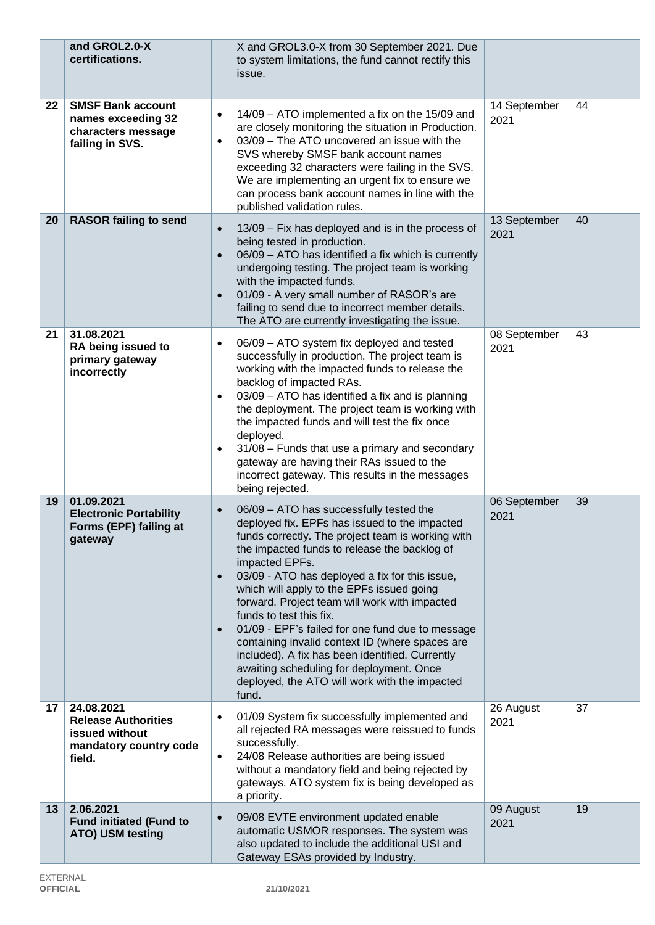|    | and GROL2.0-X<br>certifications.                                                               | X and GROL3.0-X from 30 September 2021. Due<br>to system limitations, the fund cannot rectify this<br>issue.                                                                                                                                                                                                                                                                                                                                                                                                                                                                                                                                                                                      |                      |    |
|----|------------------------------------------------------------------------------------------------|---------------------------------------------------------------------------------------------------------------------------------------------------------------------------------------------------------------------------------------------------------------------------------------------------------------------------------------------------------------------------------------------------------------------------------------------------------------------------------------------------------------------------------------------------------------------------------------------------------------------------------------------------------------------------------------------------|----------------------|----|
| 22 | <b>SMSF Bank account</b><br>names exceeding 32<br>characters message<br>failing in SVS.        | 14/09 - ATO implemented a fix on the 15/09 and<br>$\bullet$<br>are closely monitoring the situation in Production.<br>03/09 - The ATO uncovered an issue with the<br>$\bullet$<br>SVS whereby SMSF bank account names<br>exceeding 32 characters were failing in the SVS.<br>We are implementing an urgent fix to ensure we<br>can process bank account names in line with the<br>published validation rules.                                                                                                                                                                                                                                                                                     | 14 September<br>2021 | 44 |
| 20 | <b>RASOR failing to send</b>                                                                   | 13/09 - Fix has deployed and is in the process of<br>$\bullet$<br>being tested in production.<br>06/09 - ATO has identified a fix which is currently<br>$\bullet$<br>undergoing testing. The project team is working<br>with the impacted funds.<br>01/09 - A very small number of RASOR's are<br>$\bullet$<br>failing to send due to incorrect member details.<br>The ATO are currently investigating the issue.                                                                                                                                                                                                                                                                                 | 13 September<br>2021 | 40 |
| 21 | 31.08.2021<br>RA being issued to<br>primary gateway<br>incorrectly                             | 06/09 - ATO system fix deployed and tested<br>$\bullet$<br>successfully in production. The project team is<br>working with the impacted funds to release the<br>backlog of impacted RAs.<br>03/09 - ATO has identified a fix and is planning<br>$\bullet$<br>the deployment. The project team is working with<br>the impacted funds and will test the fix once<br>deployed.<br>31/08 - Funds that use a primary and secondary<br>$\bullet$<br>gateway are having their RAs issued to the<br>incorrect gateway. This results in the messages<br>being rejected.                                                                                                                                    | 08 September<br>2021 | 43 |
| 19 | 01.09.2021<br><b>Electronic Portability</b><br>Forms (EPF) failing at<br>gateway               | 06/09 - ATO has successfully tested the<br>$\bullet$<br>deployed fix. EPFs has issued to the impacted<br>funds correctly. The project team is working with<br>the impacted funds to release the backlog of<br>impacted EPFs.<br>03/09 - ATO has deployed a fix for this issue,<br>$\bullet$<br>which will apply to the EPFs issued going<br>forward. Project team will work with impacted<br>funds to test this fix.<br>01/09 - EPF's failed for one fund due to message<br>$\bullet$<br>containing invalid context ID (where spaces are<br>included). A fix has been identified. Currently<br>awaiting scheduling for deployment. Once<br>deployed, the ATO will work with the impacted<br>fund. | 06 September<br>2021 | 39 |
| 17 | 24.08.2021<br><b>Release Authorities</b><br>issued without<br>mandatory country code<br>field. | 01/09 System fix successfully implemented and<br>$\bullet$<br>all rejected RA messages were reissued to funds<br>successfully.<br>24/08 Release authorities are being issued<br>$\bullet$<br>without a mandatory field and being rejected by<br>gateways. ATO system fix is being developed as<br>a priority.                                                                                                                                                                                                                                                                                                                                                                                     | 26 August<br>2021    | 37 |
| 13 | 2.06.2021<br><b>Fund initiated (Fund to</b><br>ATO) USM testing                                | 09/08 EVTE environment updated enable<br>$\bullet$<br>automatic USMOR responses. The system was<br>also updated to include the additional USI and<br>Gateway ESAs provided by Industry.                                                                                                                                                                                                                                                                                                                                                                                                                                                                                                           | 09 August<br>2021    | 19 |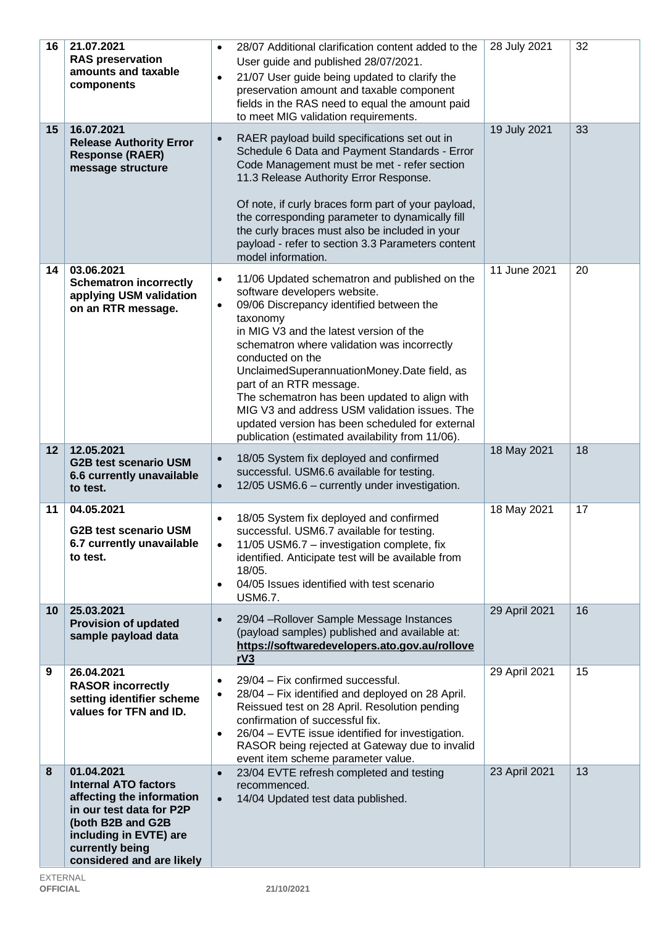| 16              | 21.07.2021<br><b>RAS preservation</b><br>amounts and taxable<br>components                                                                                                                        | 28/07 Additional clarification content added to the<br>$\bullet$<br>User guide and published 28/07/2021.<br>21/07 User guide being updated to clarify the<br>$\bullet$<br>preservation amount and taxable component<br>fields in the RAS need to equal the amount paid<br>to meet MIG validation requirements.                                                                                                                                                                                                                                                   | 28 July 2021  | 32 |
|-----------------|---------------------------------------------------------------------------------------------------------------------------------------------------------------------------------------------------|------------------------------------------------------------------------------------------------------------------------------------------------------------------------------------------------------------------------------------------------------------------------------------------------------------------------------------------------------------------------------------------------------------------------------------------------------------------------------------------------------------------------------------------------------------------|---------------|----|
| 15              | 16.07.2021<br><b>Release Authority Error</b><br><b>Response (RAER)</b><br>message structure                                                                                                       | RAER payload build specifications set out in<br>$\bullet$<br>Schedule 6 Data and Payment Standards - Error<br>Code Management must be met - refer section<br>11.3 Release Authority Error Response.<br>Of note, if curly braces form part of your payload,<br>the corresponding parameter to dynamically fill<br>the curly braces must also be included in your<br>payload - refer to section 3.3 Parameters content<br>model information.                                                                                                                       | 19 July 2021  | 33 |
| 14              | 03.06.2021<br><b>Schematron incorrectly</b><br>applying USM validation<br>on an RTR message.                                                                                                      | 11/06 Updated schematron and published on the<br>$\bullet$<br>software developers website.<br>09/06 Discrepancy identified between the<br>$\bullet$<br>taxonomy<br>in MIG V3 and the latest version of the<br>schematron where validation was incorrectly<br>conducted on the<br>UnclaimedSuperannuationMoney.Date field, as<br>part of an RTR message.<br>The schematron has been updated to align with<br>MIG V3 and address USM validation issues. The<br>updated version has been scheduled for external<br>publication (estimated availability from 11/06). | 11 June 2021  | 20 |
| 12              | 12.05.2021<br><b>G2B test scenario USM</b><br>6.6 currently unavailable<br>to test.                                                                                                               | 18/05 System fix deployed and confirmed<br>$\bullet$<br>successful. USM6.6 available for testing.<br>12/05 USM6.6 - currently under investigation.<br>$\bullet$                                                                                                                                                                                                                                                                                                                                                                                                  | 18 May 2021   | 18 |
| 11              | 04.05.2021<br><b>G2B test scenario USM</b><br>6.7 currently unavailable<br>to test.                                                                                                               | 18/05 System fix deployed and confirmed<br>$\bullet$<br>successful. USM6.7 available for testing.<br>11/05 USM6.7 - investigation complete, fix<br>$\bullet$<br>identified. Anticipate test will be available from<br>18/05.<br>04/05 Issues identified with test scenario<br>$\bullet$<br><b>USM6.7.</b>                                                                                                                                                                                                                                                        | 18 May 2021   | 17 |
| 10 <sup>°</sup> | 25.03.2021<br><b>Provision of updated</b><br>sample payload data                                                                                                                                  | 29/04 - Rollover Sample Message Instances<br>$\bullet$<br>(payload samples) published and available at:<br>https://softwaredevelopers.ato.gov.au/rollove<br>rV3                                                                                                                                                                                                                                                                                                                                                                                                  | 29 April 2021 | 16 |
| 9               | 26.04.2021<br><b>RASOR incorrectly</b><br>setting identifier scheme<br>values for TFN and ID.                                                                                                     | 29/04 - Fix confirmed successful.<br>$\bullet$<br>28/04 - Fix identified and deployed on 28 April.<br>$\bullet$<br>Reissued test on 28 April. Resolution pending<br>confirmation of successful fix.<br>26/04 - EVTE issue identified for investigation.<br>$\bullet$<br>RASOR being rejected at Gateway due to invalid<br>event item scheme parameter value.                                                                                                                                                                                                     | 29 April 2021 | 15 |
| 8               | 01.04.2021<br><b>Internal ATO factors</b><br>affecting the information<br>in our test data for P2P<br>(both B2B and G2B<br>including in EVTE) are<br>currently being<br>considered and are likely | 23/04 EVTE refresh completed and testing<br>$\bullet$<br>recommenced.<br>14/04 Updated test data published.<br>$\bullet$                                                                                                                                                                                                                                                                                                                                                                                                                                         | 23 April 2021 | 13 |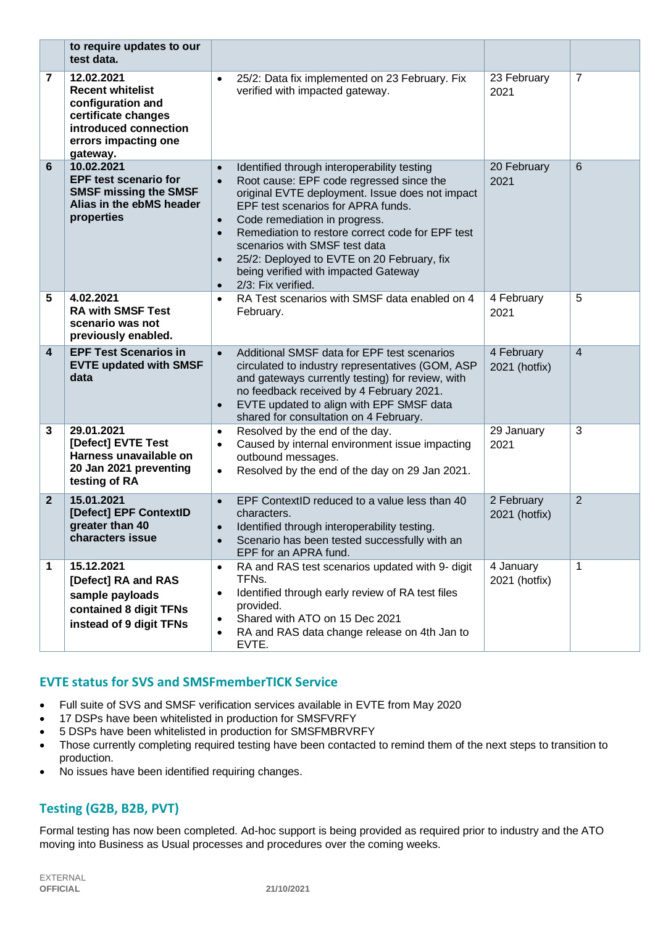|                         | to require updates to our<br>test data.                                                                                                        |                                                                            |                                                                                                                                                                                                                                                                                                                                                                                                                    |                             |                |
|-------------------------|------------------------------------------------------------------------------------------------------------------------------------------------|----------------------------------------------------------------------------|--------------------------------------------------------------------------------------------------------------------------------------------------------------------------------------------------------------------------------------------------------------------------------------------------------------------------------------------------------------------------------------------------------------------|-----------------------------|----------------|
| 7                       | 12.02.2021<br><b>Recent whitelist</b><br>configuration and<br>certificate changes<br>introduced connection<br>errors impacting one<br>gateway. | $\bullet$                                                                  | 25/2: Data fix implemented on 23 February. Fix<br>verified with impacted gateway.                                                                                                                                                                                                                                                                                                                                  | 23 February<br>2021         | 7              |
| 6                       | 10.02.2021<br><b>EPF test scenario for</b><br><b>SMSF missing the SMSF</b><br>Alias in the ebMS header<br>properties                           | $\bullet$<br>$\bullet$<br>$\bullet$<br>$\bullet$<br>$\bullet$<br>$\bullet$ | Identified through interoperability testing<br>Root cause: EPF code regressed since the<br>original EVTE deployment. Issue does not impact<br>EPF test scenarios for APRA funds.<br>Code remediation in progress.<br>Remediation to restore correct code for EPF test<br>scenarios with SMSF test data<br>25/2: Deployed to EVTE on 20 February, fix<br>being verified with impacted Gateway<br>2/3: Fix verified. | 20 February<br>2021         | 6              |
| 5                       | 4.02.2021<br><b>RA with SMSF Test</b><br>scenario was not<br>previously enabled.                                                               | $\bullet$                                                                  | RA Test scenarios with SMSF data enabled on 4<br>February.                                                                                                                                                                                                                                                                                                                                                         | 4 February<br>2021          | 5              |
| $\overline{\mathbf{4}}$ | <b>EPF Test Scenarios in</b><br><b>EVTE updated with SMSF</b><br>data                                                                          | $\bullet$<br>$\bullet$                                                     | Additional SMSF data for EPF test scenarios<br>circulated to industry representatives (GOM, ASP<br>and gateways currently testing) for review, with<br>no feedback received by 4 February 2021.<br>EVTE updated to align with EPF SMSF data<br>shared for consultation on 4 February.                                                                                                                              | 4 February<br>2021 (hotfix) | 4              |
| 3                       | 29.01.2021<br>[Defect] EVTE Test<br>Harness unavailable on<br>20 Jan 2021 preventing<br>testing of RA                                          | $\bullet$<br>$\bullet$<br>$\bullet$                                        | Resolved by the end of the day.<br>Caused by internal environment issue impacting<br>outbound messages.<br>Resolved by the end of the day on 29 Jan 2021.                                                                                                                                                                                                                                                          | 29 January<br>2021          | 3              |
| $\mathbf{2}$            | 15.01.2021<br>[Defect] EPF ContextID<br>greater than 40<br>characters issue                                                                    | $\bullet$<br>$\bullet$<br>$\bullet$                                        | EPF ContextID reduced to a value less than 40<br>characters.<br>Identified through interoperability testing.<br>Scenario has been tested successfully with an<br>EPF for an APRA fund.                                                                                                                                                                                                                             | 2 February<br>2021 (hotfix) | $\overline{2}$ |
| 1                       | 15.12.2021<br>[Defect] RA and RAS<br>sample payloads<br>contained 8 digit TFNs<br>instead of 9 digit TFNs                                      | $\bullet$<br>$\bullet$<br>٠<br>$\bullet$                                   | RA and RAS test scenarios updated with 9- digit<br>TFNs.<br>Identified through early review of RA test files<br>provided.<br>Shared with ATO on 15 Dec 2021<br>RA and RAS data change release on 4th Jan to<br>EVTE.                                                                                                                                                                                               | 4 January<br>2021 (hotfix)  | 1              |

## **EVTE status for SVS and SMSFmemberTICK Service**

- Full suite of SVS and SMSF verification services available in EVTE from May 2020
- 17 DSPs have been whitelisted in production for SMSFVRFY
- 5 DSPs have been whitelisted in production for SMSFMBRVRFY
- Those currently completing required testing have been contacted to remind them of the next steps to transition to production.
- No issues have been identified requiring changes.

## **Testing (G2B, B2B, PVT)**

Formal testing has now been completed. Ad-hoc support is being provided as required prior to industry and the ATO moving into Business as Usual processes and procedures over the coming weeks.